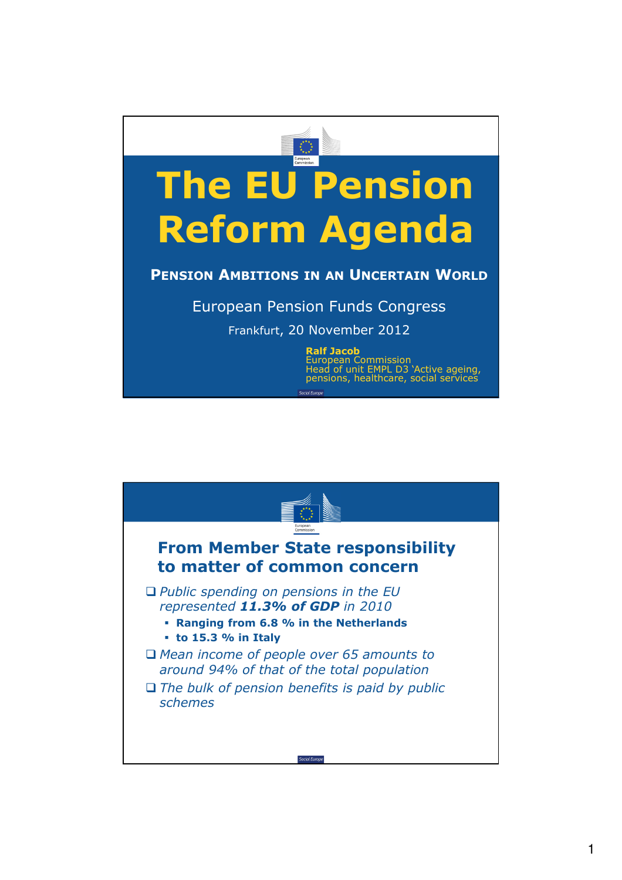

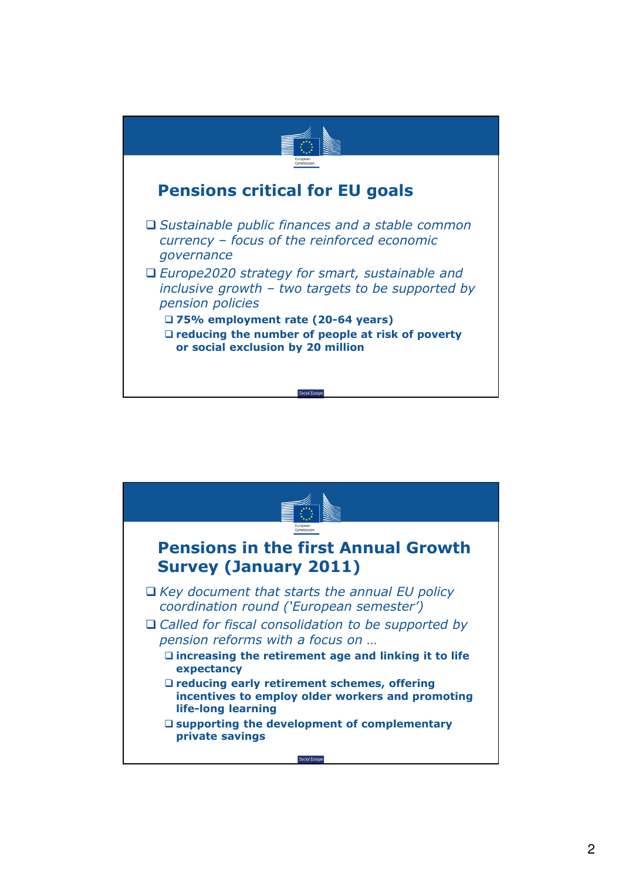

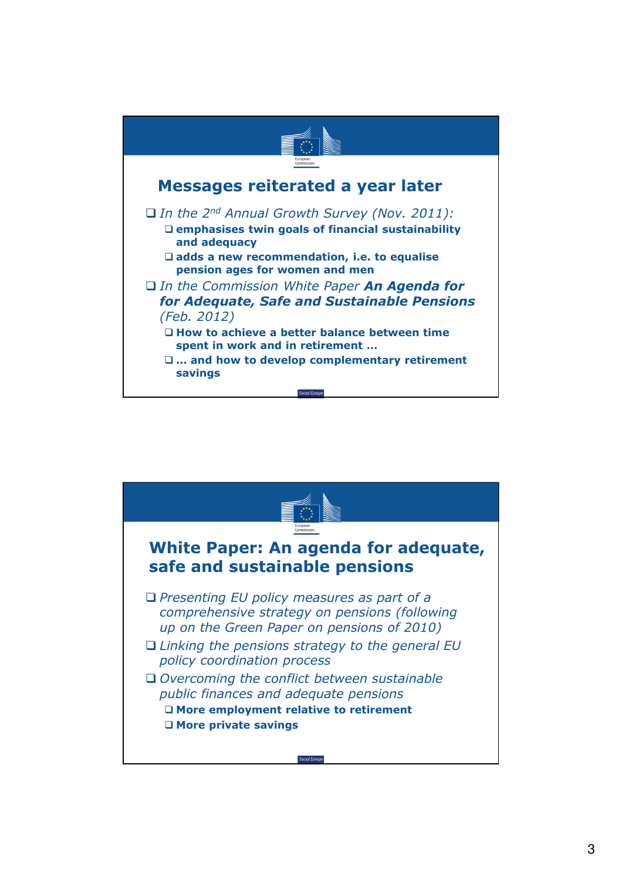

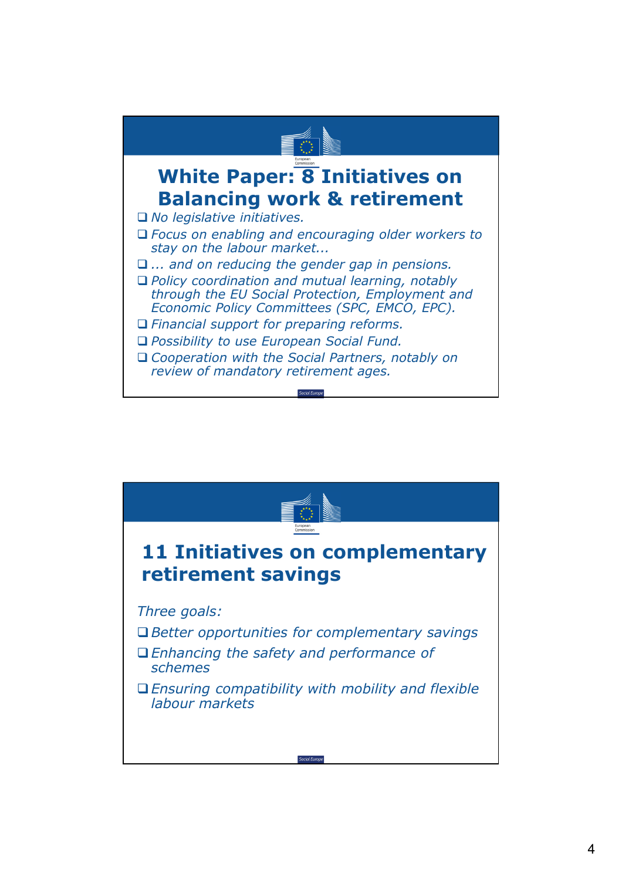

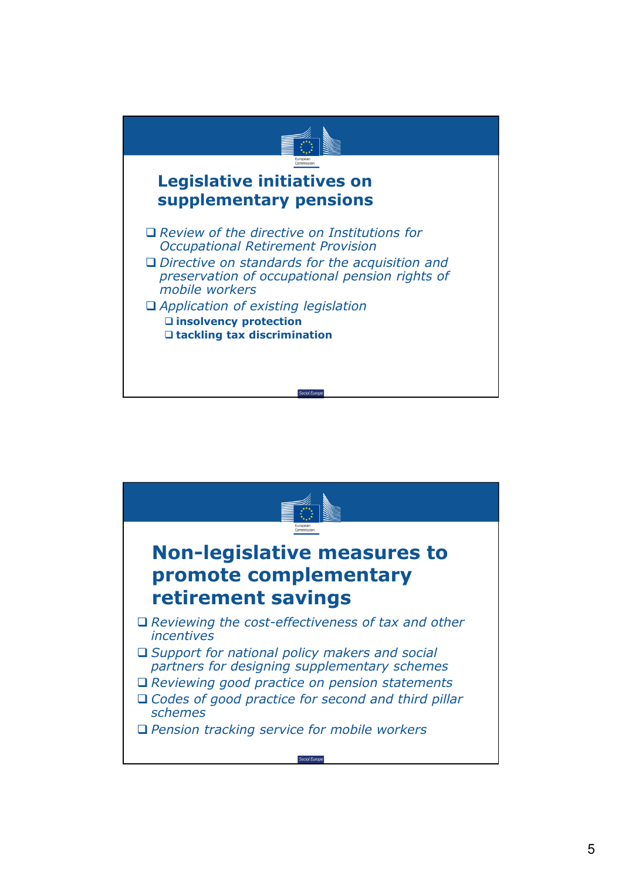

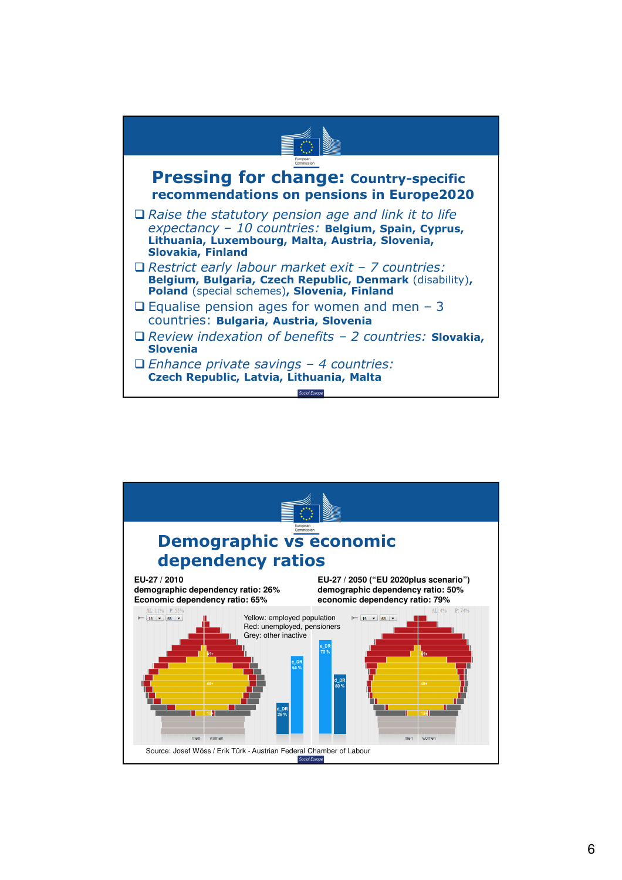

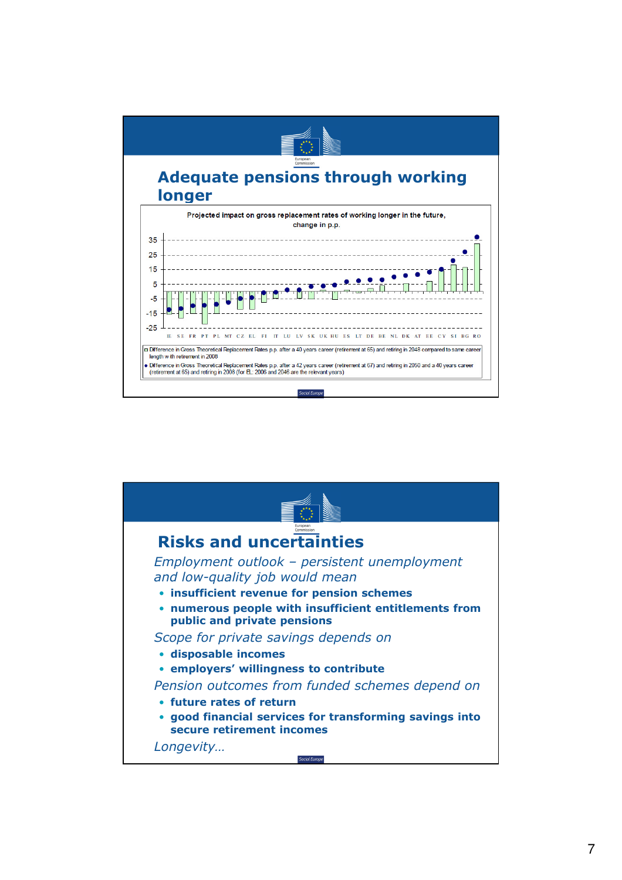